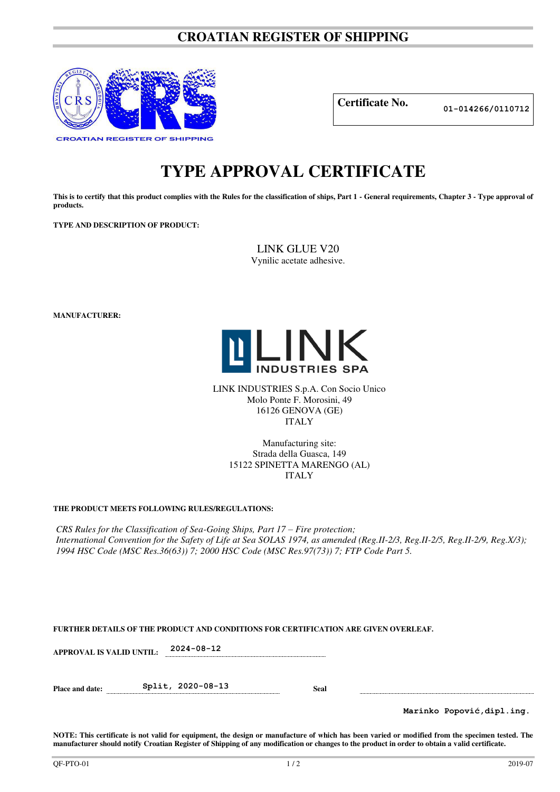## **CROATIAN REGISTER OF SHIPPING**



**Certificate No. 01-014266/0110712**

# **TYPE APPROVAL CERTIFICATE**

This is to certify that this product complies with the Rules for the classification of ships, Part 1 - General requirements, Chapter 3 - Type approval of **products.** 

**TYPE AND DESCRIPTION OF PRODUCT:** 

LINK GLUE V20 Vynilic acetate adhesive.

**MANUFACTURER:**



LINK INDUSTRIES S.p.A. Con Socio Unico Molo Ponte F. Morosini, 49 16126 GENOVA (GE) ITALY

> Manufacturing site: Strada della Guasca, 149 15122 SPINETTA MARENGO (AL) ITALY

## **THE PRODUCT MEETS FOLLOWING RULES/REGULATIONS:**

*CRS Rules for the Classification of Sea-Going Ships, Part 17 – Fire protection; International Convention for the Safety of Life at Sea SOLAS 1974, as amended (Reg.II-2/3, Reg.II-2/5, Reg.II-2/9, Reg.X/3); 1994 HSC Code (MSC Res.36(63)) 7; 2000 HSC Code (MSC Res.97(73)) 7; FTP Code Part 5.* 

|  |  | FURTHER DETAILS OF THE PRODUCT AND CONDITIONS FOR CERTIFICATION ARE GIVEN OVERLEAF. |  |  |
|--|--|-------------------------------------------------------------------------------------|--|--|
|  |  |                                                                                     |  |  |

**APPROVAL IS VALID UNTIL: 2024-08-12** 

**Place and date: Split, 2020-08-13 Seal** 

**Marinko Popović,dipl.ing.**

**NOTE: This certificate is not valid for equipment, the design or manufacture of which has been varied or modified from the specimen tested. The manufacturer should notify Croatian Register of Shipping of any modification or changes to the product in order to obtain a valid certificate.**